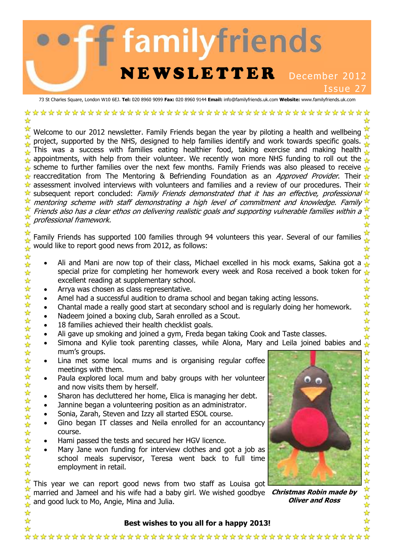# familyfriends NEWSLETTER December 2012 Issue 27

73 St Charles Square, London W10 6EJ. **Tel:** 020 8960 9099 **Fax:** 020 8960 9144 **Email:** info@familyfriends.uk.com **Website:** www.familyfriends.uk.com

Welcome to our 2012 newsletter. Family Friends began the year by piloting a health and wellbeing project, supported by the NHS, designed to help families identify and work towards specific goals. This was a success with families eating healthier food, taking exercise and making health appointments, with help from their volunteer. We recently won more NHS funding to roll out the  $\mathcal{L}$ scheme to further families over the next few months. Family Friends was also pleased to receive reaccreditation from The Mentoring & Befriending Foundation as an *Approved Provider*. Their  $\star$ assessment involved interviews with volunteers and families and a review of our procedures. Their  $\star$ subsequent report concluded: Family Friends demonstrated that it has an effective, professional  $\star$ mentoring scheme with staff demonstrating a high level of commitment and knowledge. Family Friends also has a clear ethos on delivering realistic goals and supporting vulnerable families within a professional framework.

Family Friends has supported 100 families through 94 volunteers this year. Several of our families would like to report good news from 2012, as follows:

- Ali and Mani are now top of their class, Michael excelled in his mock exams, Sakina got a special prize for completing her homework every week and Rosa received a book token for  $\star$  $\frac{1}{\mathcal{N}}$ excellent reading at supplementary school.  $\frac{1}{\sqrt{2}}$
- Arrya was chosen as class representative.

女女女女女女女女女女女女女女女女女女女女女女女女女女

 $\frac{1}{\sqrt{2}}$ 

 $\frac{\lambda}{\lambda}$ 

- Amel had a successful audition to drama school and began taking acting lessons.
- Chantal made a really good start at secondary school and is regularly doing her homework.
- Nadeem joined a boxing club, Sarah enrolled as a Scout.
- 18 families achieved their health checklist goals.
- Ali gave up smoking and joined a gym, Freda began taking Cook and Taste classes.
- Final made a really good start at secondary school and is regularly doing her homework.<br>
Nadeem joined a boxing club, Sarah enrolled as a Scout.<br>
18 families achieved their health checklist goals.<br>
Ali gave up smoking and mum's groups.  $\frac{1}{\sqrt{2}}$ 女女女女女女女女女女女女女女女女女女
- Lina met some local mums and is organising regular coffee meetings with them.
- Paula explored local mum and baby groups with her volunteer and now visits them by herself.
- Sharon has decluttered her home, Elica is managing her debt.
- Jannine began a volunteering position as an administrator.
- Sonia, Zarah, Steven and Izzy all started ESOL course.
- Gino began IT classes and Neila enrolled for an accountancy course.
- Hami passed the tests and secured her HGV licence.
- Mary Jane won funding for interview clothes and got a job as school meals supervisor, Teresa went back to full time employment in retail.

☆ This year we can report good news from two staff as Louisa got married and Jameel and his wife had a baby girl. We wished goodbye **Christmas Robin made by**  and good luck to Mo, Angie, Mina and Julia.



 $\frac{1}{\sqrt{2}}$ 

**Oliver and Ross** 

#### **Best wishes to you all for a happy 2013!**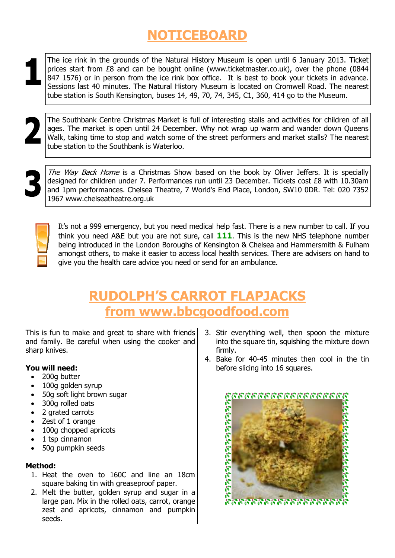# **NOTICEBOARD**

The ice rink in the grounds of the Natural History Museum is open until 6 January 2013. Ticket prices start from £8 and can be bought online (www.ticketmaster.co.uk), over the phone (0844 847 1576) or in person from the ice rink box office. It is best to book your tickets in advance. Sessions last 40 minutes. The Natural History Museum is located on Cromwell Road. The nearest tube station is South Kensington, buses 14, 49, 70, 74, 345, C1, 360, 414 go to the Museum.

The Southbank Centre Christmas Market is full of interesting stalls and activities for children of all ages. The market is open until 24 December. Why not wrap up warm and wander down Queens Walk, taking time to stop and watch some of the street performers and market stalls? The nearest tube station to the Southbank is Waterloo.



The Way Back Home is a Christmas Show based on the book by Oliver Jeffers. It is specially designed for children under 7. Performances run until 23 December. Tickets cost £8 with 10.30am and 1pm performances. Chelsea Theatre, 7 World's End Place, London, SW10 0DR. Tel: 020 7352 1967 www.chelseatheatre.org.uk



It's not a 999 emergency, but you need medical help fast. There is a new number to call. If you think you need A&E but you are not sure, call **111**. This is the new NHS telephone number being introduced in the London Boroughs of Kensington & Chelsea and Hammersmith & Fulham amongst others, to make it easier to access local health services. There are advisers on hand to give you the health care advice you need or send for an ambulance.

# **RUDOLPH'S CARROT FLAPJACKS from www.bbcgoodfood.com**

This is fun to make and great to share with friends and family. Be careful when using the cooker and sharp knives.

#### **You will need:**

- 200g butter
- 100g golden syrup
- 50g soft light brown sugar
- 300g rolled oats
- 2 grated carrots
- Zest of 1 orange
- 100q chopped apricots
- 1 tsp cinnamon
- 50g pumpkin seeds

#### **Method:**

- 1. Heat the oven to 160C and line an 18cm square baking tin with greaseproof paper.
- 2. Melt the butter, golden syrup and sugar in a large pan. Mix in the rolled oats, carrot, orange zest and apricots, cinnamon and pumpkin seeds.
- 3. Stir everything well, then spoon the mixture into the square tin, squishing the mixture down firmly.
- 4. Bake for 40-45 minutes then cool in the tin before slicing into 16 squares.

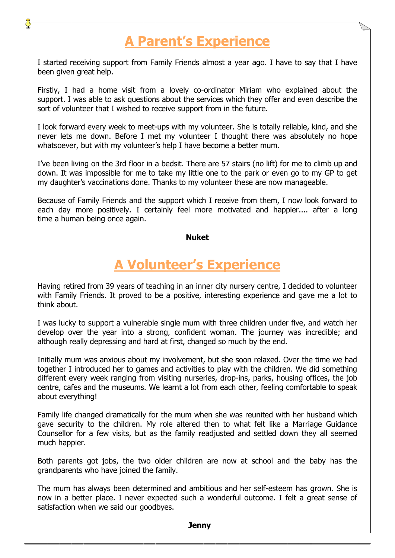# **A Parent's Experience**

I started receiving support from Family Friends almost a year ago. I have to say that I have been given great help.

Firstly, I had a home visit from a lovely co-ordinator Miriam who explained about the support. I was able to ask questions about the services which they offer and even describe the sort of volunteer that I wished to receive support from in the future.

I look forward every week to meet-ups with my volunteer. She is totally reliable, kind, and she never lets me down. Before I met my volunteer I thought there was absolutely no hope whatsoever, but with my volunteer's help I have become a better mum.

I've been living on the 3rd floor in a bedsit. There are 57 stairs (no lift) for me to climb up and down. It was impossible for me to take my little one to the park or even go to my GP to get my daughter's vaccinations done. Thanks to my volunteer these are now manageable.

Because of Family Friends and the support which I receive from them, I now look forward to each day more positively. I certainly feel more motivated and happier.... after a long time a human being once again.

#### **Nuket**

### **A Volunteer's Experience**

Having retired from 39 years of teaching in an inner city nursery centre, I decided to volunteer with Family Friends. It proved to be a positive, interesting experience and gave me a lot to think about.

I was lucky to support a vulnerable single mum with three children under five, and watch her develop over the year into a strong, confident woman. The journey was incredible; and although really depressing and hard at first, changed so much by the end.

Initially mum was anxious about my involvement, but she soon relaxed. Over the time we had together I introduced her to games and activities to play with the children. We did something different every week ranging from visiting nurseries, drop-ins, parks, housing offices, the job centre, cafes and the museums. We learnt a lot from each other, feeling comfortable to speak about everything!

Family life changed dramatically for the mum when she was reunited with her husband which gave security to the children. My role altered then to what felt like a Marriage Guidance Counsellor for a few visits, but as the family readjusted and settled down they all seemed much happier.

Both parents got jobs, the two older children are now at school and the baby has the grandparents who have joined the family.

The mum has always been determined and ambitious and her self-esteem has grown. She is now in a better place. I never expected such a wonderful outcome. I felt a great sense of satisfaction when we said our goodbyes.

#### **Jenny**